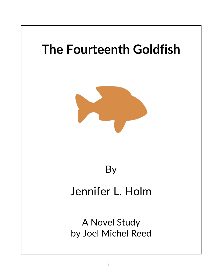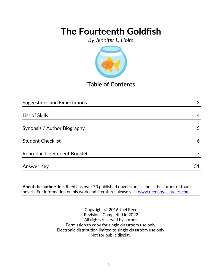*By Jennifer L. Holm*



**Table of Contents**

| <b>Suggestions and Expectations</b> | 3  |
|-------------------------------------|----|
|                                     |    |
| List of Skills                      | 4  |
| Synopsis / Author Biography         | 5  |
| <b>Student Checklist</b>            | 6  |
| Reproducible Student Booklet        | 7  |
| <b>Answer Key</b>                   | 51 |

**About the author:** Joel Reed has over 70 published novel studies and is the author of four novels. For information on his work and literature, please visit [www.reednovelstudies.com](http://www.reednovelstudies.com/)

> Copyright © 2016 Joel Reed Revisions Completed in 2022 All rights reserved by author. Permission to copy for single classroom use only. Electronic distribution limited to single classroom use only. Not for public display.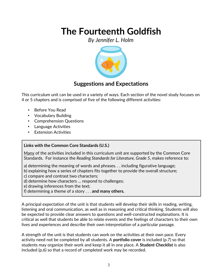*By Jennifer L. Holm*



### **Suggestions and Expectations**

This curriculum unit can be used in a variety of ways. Each section of the novel study focuses on 4 or 5 chapters and is comprised of five of the following different activities:

- Before You Read
- Vocabulary Building
- Comprehension Questions
- Language Activities
- **Extension Activities**

### **Links with the Common Core Standards (U.S.)**

Many of the activities included in this curriculum unit are supported by the Common Core Standards. For instance the *Reading Standards for Literature, Grade 5*, makes reference to:

- a) determining the meaning of words and phrases. . . including figurative language;
- b) explaining how a series of chapters fits together to provide the overall structure;
- c) compare and contrast two characters;
- d) determine how characters … respond to challenges;
- e) drawing inferences from the text;
- f) determining a theme of a story . . . **and many others.**

A principal expectation of the unit is that students will develop their skills in reading, writing, listening and oral communication, as well as in reasoning and critical thinking. Students will also be expected to provide clear answers to questions and well-constructed explanations. It is critical as well that students be able to relate events and the feelings of characters to their own lives and experiences and describe their own interpretation of a particular passage.

A strength of the unit is that students can work on the activities at their own pace. Every activity need not be completed by all students. A **portfolio cover** is included (p.7) so that students may organize their work and keep it all in one place. A **Student Checklist** is also included (p.6) so that a record of completed work may be recorded.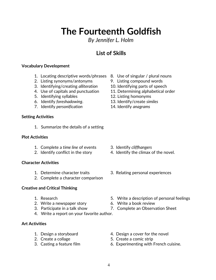*By Jennifer L. Holm*

### **List of Skills**

#### **Vocabulary Development**

- 1. Locating descriptive words/phrases 8. Use of singular / plural nouns
- 2. Listing synonyms/antonyms 9. Listing compound words
- 3. Identifying/creating *alliteration* 10. Identifying parts of speech
- 
- 5. Identifying syllables 12. Listing homonyms
- 6. Identify *foreshadowing*. 13. Identify/create *similes*
- 7. Identify *personification* 14. Identify *anagrams*

#### **Setting Activities**

1. Summarize the details of a setting

#### **Plot Activities**

- 1. Complete a *time line* of events 3. Identify *cliffhangers*
- 

#### **Character Activities**

- 
- 2. Complete a character comparison

### **Creative and Critical Thinking**

- 
- 2. Write a newspaper story 6. Write a book review
- 
- 4. Write a report on your favorite author.

### **Art Activities**

- 
- 
- 
- 
- 
- 
- 4. Use of capitals and punctuation 11. Determining alphabetical order
	-
	-
	-

- 
- 2. Identify conflict in the story 4. Identify the climax of the novel.
- 1. Determine character traits 3. Relating personal experiences
- 1. Research 5. Write a description of personal feelings
	-
- 3. Participate in a talk show 7. Complete an Observation Sheet
- 1. Design a storyboard 1. Design a cover for the novel
- 2. Create a collage 5. Create a comic strip
- 3. Casting a feature film 6. Experimenting with French cuisine.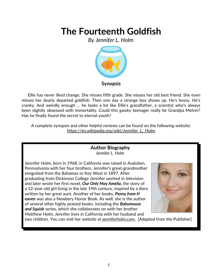*By Jennifer L. Holm*



 Ellie has never liked change. She misses fifth grade. She misses her old best friend. She even misses her dearly departed goldfish. Then one day a strange boy shows up. He's bossy. He's cranky. And weirdly enough … he looks a lot like Ellie's grandfather, a scientist who's always been slightly obsessed with immortality. Could this gawky teenager really be Grandpa Melvin? Has he finally found the secret to eternal youth?

A complete synopsis and other helpful reviews can be found on the following website: https://en.wikipedia.org/wiki/Jennifer\_L.\_Holm

### **Author Biography** *Jennifer L. Holm*

Jennifer Holm, born in 1968, in California was raised in Audubon, Pennsylvania with her four brothers. Jennifer's great-grandmother emigrated from the Bahamas to Key West in 1897. After graduating from Dickinson College Jennifer worked in television and later wrote her first novel, *Our Only May Amelia,* the story of a 12-year-old girl living in the late 19th century, inspired by a diary written by her great aunt. Another of her books, *Penny from H eaven* was also a Newbery Honor Book. As well, she is the author of several other highly praised books, including the *Babymouse and Squish* series, which she collaborates on with her brother Matthew Holm. Jennifer lives in California with her husband and



two children. You can visit her website at jenniferholm.com. [Adapted from the Publisher]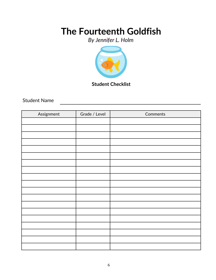*By Jennifer L. Holm*



**Student Checklist**

Student Name

| Assignment | Grade / Level | Comments |
|------------|---------------|----------|
|            |               |          |
|            |               |          |
|            |               |          |
|            |               |          |
|            |               |          |
|            |               |          |
|            |               |          |
|            |               |          |
|            |               |          |
|            |               |          |
|            |               |          |
|            |               |          |
|            |               |          |
|            |               |          |
|            |               |          |
|            |               |          |
|            |               |          |
|            |               |          |
|            |               |          |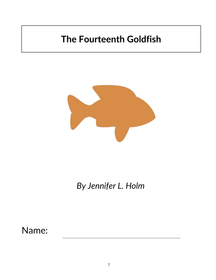

*By Jennifer L. Holm*

Name: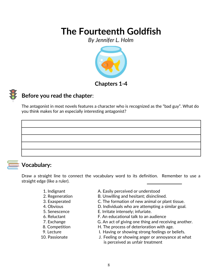*By Jennifer L. Holm*





### **Before you read the chapter**:

The antagonist in most novels features a character who is recognized as the "bad guy". What do you think makes for an especially interesting antagonist?

### **Vocabulary:**

Draw a straight line to connect the vocabulary word to its definition. Remember to use a straight edge (like a ruler).

- 
- 
- 
- 
- 
- 
- 
- 
- 
- 
- 1. Indignant **A. Easily perceived or understood**
- 2. Regeneration **B. Unwilling and hesitant; disinclined.**
- 3. Exasperated C. The formation of new animal or plant tissue.
- 4. Obvious D. Individuals who are attempting a similar goal.
- 5. Senescence E. Irritate intensely; infuriate.
- 6. Reluctant F. An educational talk to an audience
- 7. Exchange G. An act of giving one thing and receiving another.
- 8. Competition **H.** The process of deterioration with age.
- 9. Lecture I. Having or showing strong feelings or beliefs.
- 10. Passionate J. Feeling or showing anger or annoyance at what is perceived as unfair treatment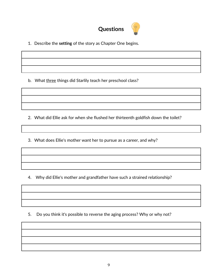

1. Describe the **setting** of the story as Chapter One begins.

b. What three things did Starlily teach her preschool class?

2. What did Ellie ask for when she flushed her thirteenth goldfish down the toilet?

3. What does Ellie's mother want her to pursue as a career, and why?

4. Why did Ellie's mother and grandfather have such a strained relationship?

5. Do you think it's possible to reverse the aging process? Why or why not?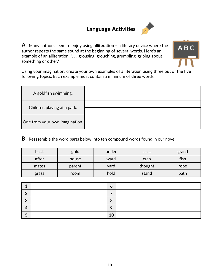### **Language Activities**



**A**. Many authors seem to enjoy using **alliteration –** a literary device where the author **r**epeats the same sound at the beginning of several words. Here's an example of an alliteration: ". . . **g**rousing, **g**rouching, **g**rumbling, **g**riping about something or other."



Using your imagination, create your own examples of **alliteration** using three out of the five following topics. Each example must contain a minimum of three words.

| A goldfish swimming.           |  |
|--------------------------------|--|
| Children playing at a park.    |  |
| One from your own imagination. |  |

**B.** Reassemble the word parts below into ten compound words found in our novel*.*

| back  | gold   | under | class   | grand |
|-------|--------|-------|---------|-------|
| after | house  | ward  | crab    | fish  |
| mates | parent | yard  | thought | robe  |
| grass | room   | hold  | stand   | bath  |

|   | O  |  |
|---|----|--|
| ┍ |    |  |
| ◠ | 8  |  |
|   | ◠  |  |
|   | 10 |  |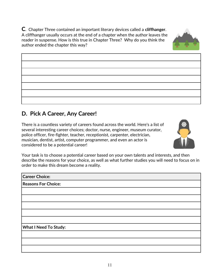**C**. Chapter Three contained an important literary devices called a **cliffhanger**. A cliffhanger usually occurs at the end of a chapter when the author leaves the reader in suspense. How is this true in Chapter Three? Why do you think the author ended the chapter this way?

### **D. Pick A Career, Any Career!**

There is a countless variety of careers found across the world. Here's a list of several interesting career choices; doctor, nurse, engineer, museum curator, police officer, fire-fighter, teacher, receptionist, carpenter, electrician, musician, dentist, artist, computer programmer, and even an actor is considered to be a potential career!

Your task is to choose a potential career based on your own talents and interests, and then describe the reasons for your choice, as well as what further studies you will need to focus on in order to make this dream become a reality.